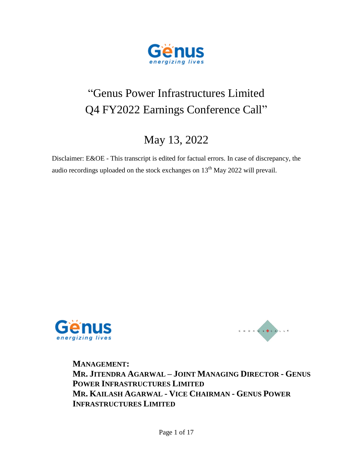

# "Genus Power Infrastructures Limited Q4 FY2022 Earnings Conference Call"

## May 13, 2022

Disclaimer: E&OE - This transcript is edited for factual errors. In case of discrepancy, the audio recordings uploaded on the stock exchanges on  $13<sup>th</sup>$  May 2022 will prevail.





**MANAGEMENT: MR. JITENDRA AGARWAL – JOINT MANAGING DIRECTOR - GENUS POWER INFRASTRUCTURES LIMITED MR. KAILASH AGARWAL - VICE CHAIRMAN - GENUS POWER INFRASTRUCTURES LIMITED**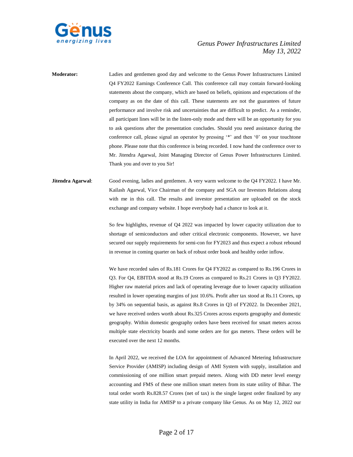

**Moderator:** Ladies and gentlemen good day and welcome to the Genus Power Infrastructures Limited Q4 FY2022 Earnings Conference Call. This conference call may contain forward-looking statements about the company, which are based on beliefs, opinions and expectations of the company as on the date of this call. These statements are not the guarantees of future performance and involve risk and uncertainties that are difficult to predict. As a reminder, all participant lines will be in the listen-only mode and there will be an opportunity for you to ask questions after the presentation concludes. Should you need assistance during the conference call, please signal an operator by pressing '\*' and then '0' on your touchtone phone. Please note that this conference is being recorded. I now hand the conference over to Mr. Jitendra Agarwal, Joint Managing Director of Genus Power Infrastructures Limited. Thank you and over to you Sir!

### **Jitendra Agarwal**: Good evening, ladies and gentlemen. A very warm welcome to the Q4 FY2022. I have Mr. Kailash Agarwal, Vice Chairman of the company and SGA our Investors Relations along with me in this call. The results and investor presentation are uploaded on the stock exchange and company website. I hope everybody had a chance to look at it.

So few highlights, revenue of Q4 2022 was impacted by lower capacity utilization due to shortage of semiconductors and other critical electronic components. However, we have secured our supply requirements for semi-con for FY2023 and thus expect a robust rebound in revenue in coming quarter on back of robust order book and healthy order inflow.

We have recorded sales of Rs.181 Crores for Q4 FY2022 as compared to Rs.196 Crores in Q3. For Q4, EBITDA stood at Rs.19 Crores as compared to Rs.21 Crores in Q3 FY2022. Higher raw material prices and lack of operating leverage due to lower capacity utilization resulted in lower operating margins of just 10.6%. Profit after tax stood at Rs.11 Crores, up by 34% on sequential basis, as against Rs.8 Crores in Q3 of FY2022. In December 2021, we have received orders worth about Rs.325 Crores across exports geography and domestic geography. Within domestic geography orders have been received for smart meters across multiple state electricity boards and some orders are for gas meters. These orders will be executed over the next 12 months.

In April 2022, we received the LOA for appointment of Advanced Metering Infrastructure Service Provider (AMISP) including design of AMI System with supply, installation and commissioning of one million smart prepaid meters. Along with DD meter level energy accounting and FMS of these one million smart meters from its state utility of Bihar. The total order worth Rs.828.57 Crores (net of tax) is the single largest order finalized by any state utility in India for AMISP to a private company like Genus. As on May 12, 2022 our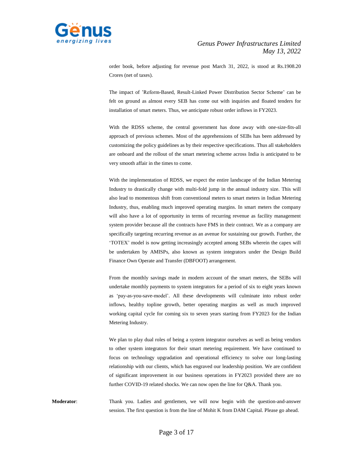

order book, before adjusting for revenue post March 31, 2022, is stood at Rs.1908.20 Crores (net of taxes).

The impact of 'Reform-Based, Result-Linked Power Distribution Sector Scheme' can be felt on ground as almost every SEB has come out with inquiries and floated tenders for installation of smart meters. Thus, we anticipate robust order inflows in FY2023.

With the RDSS scheme, the central government has done away with one-size-fits-all approach of previous schemes. Most of the apprehensions of SEBs has been addressed by customizing the policy guidelines as by their respective specifications. Thus all stakeholders are onboard and the rollout of the smart metering scheme across India is anticipated to be very smooth affair in the times to come.

With the implementation of RDSS, we expect the entire landscape of the Indian Metering Industry to drastically change with multi-fold jump in the annual industry size. This will also lead to momentous shift from conventional meters to smart meters in Indian Metering Industry, thus, enabling much improved operating margins. In smart meters the company will also have a lot of opportunity in terms of recurring revenue as facility management system provider because all the contracts have FMS in their contract. We as a company are specifically targeting recurring revenue as an avenue for sustaining our growth. Further, the 'TOTEX' model is now getting increasingly accepted among SEBs wherein the capex will be undertaken by AMISPs, also known as system integrators under the Design Build Finance Own Operate and Transfer (DBFOOT) arrangement.

From the monthly savings made in modern account of the smart meters, the SEBs will undertake monthly payments to system integrators for a period of six to eight years known as 'pay-as-you-save-model'. All these developments will culminate into robust order inflows, healthy topline growth, better operating margins as well as much improved working capital cycle for coming six to seven years starting from FY2023 for the Indian Metering Industry.

We plan to play dual roles of being a system integrator ourselves as well as being vendors to other system integrators for their smart metering requirement. We have continued to focus on technology upgradation and operational efficiency to solve our long-lasting relationship with our clients, which has engraved our leadership position. We are confident of significant improvement in our business operations in FY2023 provided there are no further COVID-19 related shocks. We can now open the line for Q&A. Thank you.

**Moderator**: Thank you. Ladies and gentlemen, we will now begin with the question-and-answer session. The first question is from the line of Mohit K from DAM Capital. Please go ahead.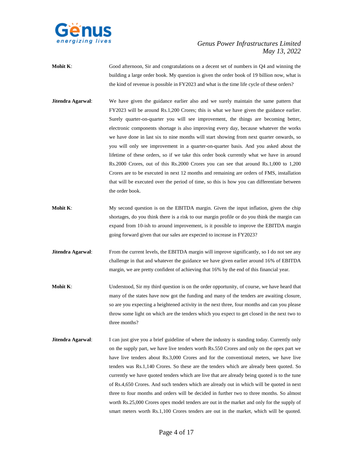

- **Mohit K:** Good afternoon, Sir and congratulations on a decent set of numbers in Q4 and winning the building a large order book. My question is given the order book of 19 billion now, what is the kind of revenue is possible in FY2023 and what is the time life cycle of these orders?
- **Jitendra Agarwal**: We have given the guidance earlier also and we surely maintain the same pattern that FY2023 will be around Rs.1,200 Crores; this is what we have given the guidance earlier. Surely quarter-on-quarter you will see improvement, the things are becoming better, electronic components shortage is also improving every day, because whatever the works we have done in last six to nine months will start showing from next quarter onwards, so you will only see improvement in a quarter-on-quarter basis. And you asked about the lifetime of these orders, so if we take this order book currently what we have in around Rs.2000 Crores, out of this Rs.2000 Crores you can see that around Rs.1,000 to 1,200 Crores are to be executed in next 12 months and remaining are orders of FMS, installation that will be executed over the period of time, so this is how you can differentiate between the order book.
- **Mohit K:** My second question is on the EBITDA margin. Given the input inflation, given the chip shortages, do you think there is a risk to our margin profile or do you think the margin can expand from 10-ish to around improvement, is it possible to improve the EBITDA margin going forward given that our sales are expected to increase in FY2023?
- **Jitendra Agarwal:** From the current levels, the EBITDA margin will improve significantly, so I do not see any challenge in that and whatever the guidance we have given earlier around 16% of EBITDA margin, we are pretty confident of achieving that 16% by the end of this financial year.
- **Mohit K:** Understood, Sir my third question is on the order opportunity, of course, we have heard that many of the states have now got the funding and many of the tenders are awaiting closure, so are you expecting a heightened activity in the next three, four months and can you please throw some light on which are the tenders which you expect to get closed in the next two to three months?
- **Jitendra Agarwal:** I can just give you a brief guideline of where the industry is standing today. Currently only on the supply part, we have live tenders worth Rs.550 Crores and only on the opex part we have live tenders about Rs.3,000 Crores and for the conventional meters, we have live tenders was Rs.1,140 Crores. So these are the tenders which are already been quoted. So currently we have quoted tenders which are live that are already being quoted is to the tune of Rs.4,650 Crores. And such tenders which are already out in which will be quoted in next three to four months and orders will be decided in further two to three months. So almost worth Rs.25,000 Crores opex model tenders are out in the market and only for the supply of smart meters worth Rs.1,100 Crores tenders are out in the market, which will be quoted.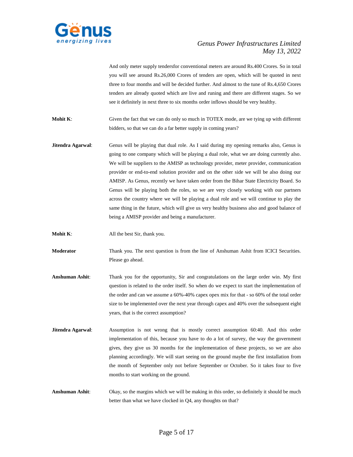

And only meter supply tendersfor conventional meters are around Rs.400 Crores. So in total you will see around Rs.26,000 Crores of tenders are open, which will be quoted in next three to four months and will be decided further. And almost to the tune of Rs.4,650 Crores tenders are already quoted which are live and runing and there are different stages. So we see it definitely in next three to six months order inflows should be very healthy.

**Mohit K:** Given the fact that we can do only so much in TOTEX mode, are we tying up with different bidders, so that we can do a far better supply in coming years?

- **Jitendra Agarwal:** Genus will be playing that dual role. As I said during my opening remarks also, Genus is going to one company which will be playing a dual role, what we are doing currently also. We will be suppliers to the AMISP as technology provider, meter provider, communication provider or end-to-end solution provider and on the other side we will be also doing our AMISP. As Genus, recently we have taken order from the Bihar State Electricity Board. So Genus will be playing both the roles, so we are very closely working with our partners across the country where we will be playing a dual role and we will continue to play the same thing in the future, which will give us very healthy business also and good balance of being a AMISP provider and being a manufacturer.
- **Mohit K:** All the best Sir, thank you.

**Moderator** Thank you. The next question is from the line of Anshuman Ashit from ICICI Securities. Please go ahead.

- **Anshuman Ashit**: Thank you for the opportunity, Sir and congratulations on the large order win. My first question is related to the order itself. So when do we expect to start the implementation of the order and can we assume a 60%-40% capex opex mix for that - so 60% of the total order size to be implemented over the next year through capex and 40% over the subsequent eight years, that is the correct assumption?
- **Jitendra Agarwal**: Assumption is not wrong that is mostly correct assumption 60:40. And this order implementation of this, because you have to do a lot of survey, the way the government gives, they give us 30 months for the implementation of these projects, so we are also planning accordingly. We will start seeing on the ground maybe the first installation from the month of September only not before September or October. So it takes four to five months to start working on the ground.
- **Anshuman Ashit**: Okay, so the margins which we will be making in this order, so definitely it should be much better than what we have clocked in Q4, any thoughts on that?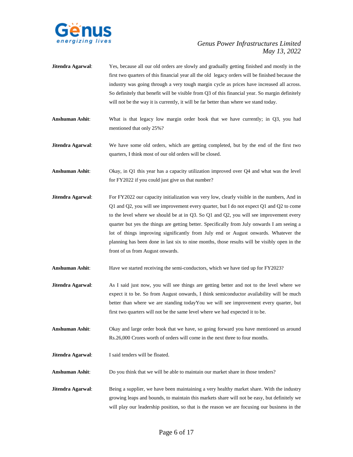

- **Jitendra Agarwal**: Yes, because all our old orders are slowly and gradually getting finished and mostly in the first two quarters of this financial year all the old legacy orders will be finished because the industry was going through a very tough margin cycle as prices have increased all across. So definitely that benefit will be visible from Q3 of this financial year. So margin definitely will not be the way it is currently, it will be far better than where we stand today.
- **Anshuman Ashit**: What is that legacy low margin order book that we have currently; in Q3, you had mentioned that only 25%?
- **Jitendra Agarwal**: We have some old orders, which are getting completed, but by the end of the first two quarters, I think most of our old orders will be closed.
- **Anshuman Ashit**: Okay, in Q1 this year has a capacity utilization improved over Q4 and what was the level for FY2022 if you could just give us that number?
- **Jitendra Agarwal:** For FY2022 our capacity initialization was very low, clearly visible in the numbers, And in Q1 and Q2, you will see improvement every quarter, but I do not expect Q1 and Q2 to come to the level where we should be at in Q3. So Q1 and Q2, you will see improvement every quarter but yes the things are getting better. Specifically from July onwards I am seeing a lot of things improving significantly from July end or August onwards. Whatever the planning has been done in last six to nine months, those results will be visibly open in the front of us from August onwards.
- **Anshuman Ashit**: Have we started receiving the semi-conductors, which we have tied up for FY2023?
- **Jitendra Agarwal:** As I said just now, you will see things are getting better and not to the level where we expect it to be. So from August onwards, I think semiconductor availability will be much better than where we are standing todayYou we will see improvement every quarter, but first two quarters will not be the same level where we had expected it to be.
- **Anshuman Ashit**: Okay and large order book that we have, so going forward you have mentioned us around Rs.26,000 Crores worth of orders will come in the next three to four months.
- **Jitendra Agarwal**: I said tenders will be floated.
- **Anshuman Ashit**: Do you think that we will be able to maintain our market share in those tenders?
- **Jitendra Agarwal:** Being a supplier, we have been maintaining a very healthy market share. With the industry growing leaps and bounds, to maintain this markets share will not be easy, but definitely we will play our leadership position, so that is the reason we are focusing our business in the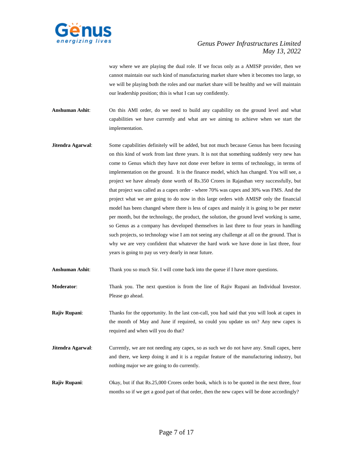

way where we are playing the dual role. If we focus only as a AMISP provider, then we cannot maintain our such kind of manufacturing market share when it becomes too large, so we will be playing both the roles and our market share will be healthy and we will maintain our leadership position; this is what I can say confidently.

- **Anshuman Ashit**: On this AMI order, do we need to build any capability on the ground level and what capabilities we have currently and what are we aiming to achieve when we start the implementation.
- **Jitendra Agarwal:** Some capabilities definitely will be added, but not much because Genus has been focusing on this kind of work from last three years. It is not that something suddenly very new has come to Genus which they have not done ever before in terms of technology, in terms of implementation on the ground. It is the finance model, which has changed. You will see, a project we have already done worth of Rs.350 Crores in Rajasthan very successfully, but that project was called as a capex order - where 70% was capex and 30% was FMS. And the project what we are going to do now in this large orders with AMISP only the financial model has been changed where there is less of capex and mainly it is going to be per meter per month, but the technology, the product, the solution, the ground level working is same, so Genus as a company has developed themselves in last three to four years in handling such projects, so technology wise I am not seeing any challenge at all on the ground. That is why we are very confident that whatever the hard work we have done in last three, four years is going to pay us very dearly in near future.
- **Anshuman Ashit**: Thank you so much Sir. I will come back into the queue if I have more questions.
- **Moderator**: Thank you. The next question is from the line of Rajiv Rupani an Individual Investor. Please go ahead.
- **Rajiv Rupani:** Thanks for the opportunity. In the last con-call, you had said that you will look at capex in the month of May and June if required, so could you update us on? Any new capex is required and when will you do that?
- **Jitendra Agarwal:** Currently, we are not needing any capex, so as such we do not have any. Small capex, here and there, we keep doing it and it is a regular feature of the manufacturing industry, but nothing major we are going to do currently.
- **Rajiv Rupani:** Okay, but if that Rs.25,000 Crores order book, which is to be quoted in the next three, four months so if we get a good part of that order, then the new capex will be done accordingly?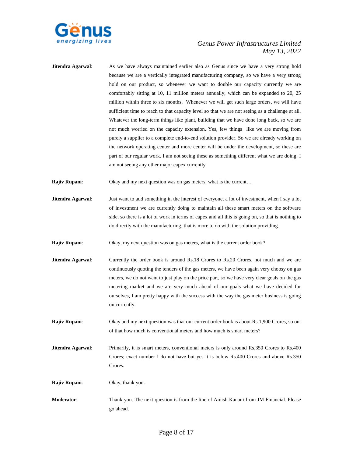

**Jitendra Agarwal:** As we have always maintained earlier also as Genus since we have a very strong hold because we are a vertically integrated manufacturing company, so we have a very strong hold on our product, so whenever we want to double our capacity currently we are comfortably sitting at 10, 11 million meters annually, which can be expanded to 20, 25 million within three to six months. Whenever we will get such large orders, we will have sufficient time to reach to that capacity level so that we are not seeing as a challenge at all. Whatever the long-term things like plant, building that we have done long back, so we are not much worried on the capacity extension. Yes, few things like we are moving from purely a supplier to a complete end-to-end solution provider. So we are already working on the network operating center and more center will be under the development, so these are part of our regular work. I am not seeing these as something different what we are doing. I am not seeing any other major capex currently.

**Rajiv Rupani:** Okay and my next question was on gas meters, what is the current...

**Jitendra Agarwal**: Just want to add something in the interest of everyone, a lot of investment, when I say a lot of investment we are currently doing to maintain all these smart meters on the software side, so there is a lot of work in terms of capex and all this is going on, so that is nothing to do directly with the manufacturing, that is more to do with the solution providing.

**Rajiv Rupani:** Okay, my next question was on gas meters, what is the current order book?

- **Jitendra Agarwal:** Currently the order book is around Rs.18 Crores to Rs.20 Crores, not much and we are continuously quoting the tenders of the gas meters, we have been again very choosy on gas meters, we do not want to just play on the price part, so we have very clear goals on the gas metering market and we are very much ahead of our goals what we have decided for ourselves, I am pretty happy with the success with the way the gas meter business is going on currently.
- **Rajiv Rupani:** Okay and my next question was that our current order book is about Rs.1,900 Crores, so out of that how much is conventional meters and how much is smart meters?
- **Jitendra Agarwal:** Primarily, it is smart meters, conventional meters is only around Rs.350 Crores to Rs.400 Crores; exact number I do not have but yes it is below Rs.400 Crores and above Rs.350 Crores.

**Rajiv Rupani**: Okay, thank you.

**Moderator**: Thank you. The next question is from the line of Amish Kanani from JM Financial. Please go ahead.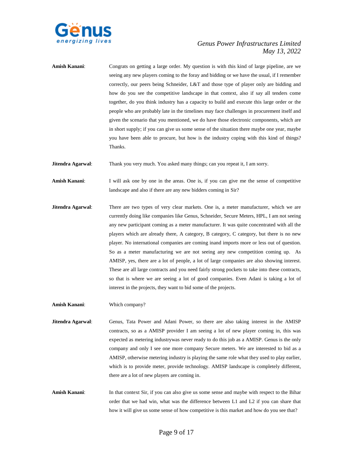

**Amish Kanani**: Congrats on getting a large order. My question is with this kind of large pipeline, are we seeing any new players coming to the foray and bidding or we have the usual, if I remember correctly, our peers being Schneider, L&T and those type of player only are bidding and how do you see the competitive landscape in that context, also if say all tenders come together, do you think industry has a capacity to build and execute this large order or the people who are probably late in the timelines may face challenges in procurement itself and given the scenario that you mentioned, we do have those electronic components, which are in short supply; if you can give us some sense of the situation there maybe one year, maybe you have been able to procure, but how is the industry coping with this kind of things? Thanks.

**Jitendra Agarwal:** Thank you very much. You asked many things; can you repeat it, I am sorry.

**Amish Kanani**: I will ask one by one in the areas. One is, if you can give me the sense of competitive landscape and also if there are any new bidders coming in Sir?

**Jitendra Agarwal:** There are two types of very clear markets. One is, a meter manufacturer, which we are currently doing like companies like Genus, Schneider, Secure Meters, HPL, I am not seeing any new participant coming as a meter manufacturer. It was quite concentrated with all the players which are already there, A category, B category, C category, but there is no new player. No international companies are coming inand imports more or less out of question. So as a meter manufacturing we are not seeing any new competition coming up. As AMISP, yes, there are a lot of people, a lot of large companies are also showing interest. These are all large contracts and you need fairly strong pockets to take into these contracts, so that is where we are seeing a lot of good companies. Even Adani is taking a lot of interest in the projects, they want to bid some of the projects.

**Amish Kanani**: Which company?

- **Jitendra Agarwal:** Genus, Tata Power and Adani Power, so there are also taking interest in the AMISP contracts, so as a AMISP provider I am seeing a lot of new player coming in, this was expected as metering industrywas never ready to do this job as a AMISP. Genus is the only company and only I see one more company Secure meters. We are interested to bid as a AMISP, otherwise metering industry is playing the same role what they used to play earlier, which is to provide meter, provide technology. AMISP landscape is completely different, there are a lot of new players are coming in.
- **Amish Kanani:** In that context Sir, if you can also give us some sense and maybe with respect to the Bihar order that we had win, what was the difference between L1 and L2 if you can share that how it will give us some sense of how competitive is this market and how do you see that?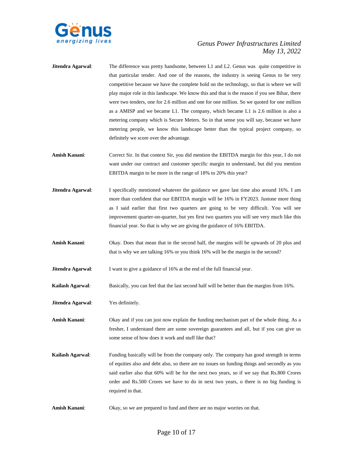

- **Jitendra Agarwal:** The difference was pretty handsome, between L1 and L2. Genus was quite competitive in that particular tender. And one of the reasons, the industry is seeing Genus to be very competitive because we have the complete hold on the technology, so that is where we will play major role in this landscape. We know this and that is the reason if you see Bihar, there were two tenders, one for 2.6 million and one for one million. So we quoted for one million as a AMISP and we became L1. The company, which became L1 is 2.6 million is also a metering company which is Secure Meters. So in that sense you will say, because we have metering people, we know this landscape better than the typical project company, so definitely we score over the advantage.
- **Amish Kanani**: Correct Sir. In that context Sir, you did mention the EBITDA margin for this year, I do not want under our contract and customer specific margin to understand, but did you mention EBITDA margin to be more in the range of 18% to 20% this year?
- **Jitendra Agarwal:** I specifically mentioned whatever the guidance we gave last time also around 16%. I am more than confident that our EBITDA margin will be 16% in FY2023. Justone more thing as I said earlier that first two quarters are going to be very difficult. You will see improvement quarter-on-quarter, but yes first two quarters you will see very much like this financial year. So that is why we are giving the guidance of 16% EBITDA.
- **Amish Kanani**: Okay. Does that mean that in the second half, the margins will be upwards of 20 plus and that is why we are talking 16% or you think 16% will be the margin in the second?

**Jitendra Agarwal:** I want to give a guidance of 16% at the end of the full financial year.

**Kailash Agarwal**: Basically, you can feel that the last second half will be better than the margins from 16%.

**Jitendra Agarwal**: Yes definitely.

**Amish Kanani**: Okay and if you can just now explain the funding mechanism part of the whole thing. As a fresher, I understand there are some sovereign guarantees and all, but if you can give us some sense of how does it work and stuff like that?

- **Kailash Agarwal**: Funding basically will be from the company only. The company has good strength in terms of equities also and debt also, so there are no issues on funding things and secondly as you said earlier also that 60% will be for the next two years, so if we say that Rs.800 Crores order and Rs.500 Crores we have to do in next two years, o there is no big funding is required in that.
- **Amish Kanani**: Okay, so we are prepared to fund and there are no major worries on that.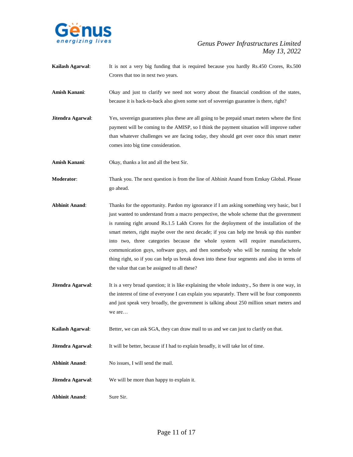

- **Kailash Agarwal**: It is not a very big funding that is required because you hardly Rs.450 Crores, Rs.500 Crores that too in next two years.
- Amish Kanani: Okay and just to clarify we need not worry about the financial condition of the states, because it is back-to-back also given some sort of sovereign guarantee is there, right?
- **Jitendra Agarwal:** Yes, sovereign guarantees plus these are all going to be prepaid smart meters where the first payment will be coming to the AMISP, so I think the payment situation will improve rather than whatever challenges we are facing today, they should get over once this smart meter comes into big time consideration.

**Amish Kanani**: Okay, thanks a lot and all the best Sir.

**Moderator**: Thank you. The next question is from the line of Abhinit Anand from Emkay Global. Please go ahead.

- **Abhinit Anand**: Thanks for the opportunity. Pardon my ignorance if I am asking something very basic, but I just wanted to understand from a macro perspective, the whole scheme that the government is running right around Rs.1.5 Lakh Crores for the deployment of the installation of the smart meters, right maybe over the next decade; if you can help me break up this number into two, three categories because the whole system will require manufacturers, communication guys, software guys, and then somebody who will be running the whole thing right, so if you can help us break down into these four segments and also in terms of the value that can be assigned to all these?
- **Jitendra Agarwal:** It is a very broad question; it is like explaining the whole industry., So there is one way, in the interest of time of everyone I can explain you separately. There will be four components and just speak very broadly, the government is talking about 250 million smart meters and we are…

**Kailash Agarwal:** Better, we can ask SGA, they can draw mail to us and we can just to clarify on that.

**Jitendra Agarwal:** It will be better, because if I had to explain broadly, it will take lot of time.

- **Abhinit Anand**: No issues, I will send the mail.
- **Jitendra Agarwal**: We will be more than happy to explain it.

**Abhinit Anand**: Sure Sir.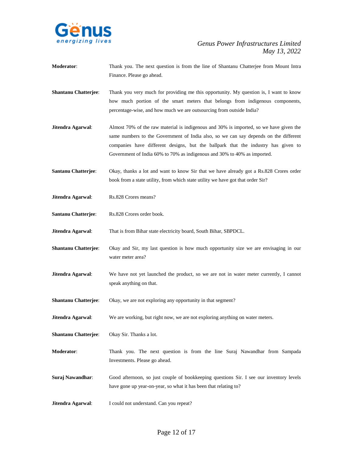

- **Moderator**: Thank you. The next question is from the line of Shantanu Chatterjee from Mount Intra Finance. Please go ahead.
- **Shantanu Chatterjee**: Thank you very much for providing me this opportunity. My question is, I want to know how much portion of the smart meters that belongs from indigenous components, percentage-wise, and how much we are outsourcing from outside India?
- **Jitendra Agarwal**: Almost 70% of the raw material is indigenous and 30% is imported, so we have given the same numbers to the Government of India also, so we can say depends on the different companies have different designs, but the ballpark that the industry has given to Government of India 60% to 70% as indigenous and 30% to 40% as imported.
- **Santanu Chatterjee**: Okay, thanks a lot and want to know Sir that we have already got a Rs.828 Crores order book from a state utility, from which state utility we have got that order Sir?
- **Jitendra Agarwal**: Rs.828 Crores means?
- **Santanu Chatterjee**: Rs.828 Crores order book.

**Jitendra Agarwal**: That is from Bihar state electricity board, South Bihar, SBPDCL.

- **Shantanu Chatterjee**: Okay and Sir, my last question is how much opportunity size we are envisaging in our water meter area?
- **Jitendra Agarwal:** We have not yet launched the product, so we are not in water meter currently, I cannot speak anything on that.
- **Shantanu Chatterjee:** Okay, we are not exploring any opportunity in that segment?
- **Jitendra Agarwal:** We are working, but right now, we are not exploring anything on water meters.
- **Shantanu Chatterjee**: Okay Sir. Thanks a lot.
- **Moderator**: Thank you. The next question is from the line Suraj Nawandhar from Sampada Investments. Please go ahead.
- **Suraj Nawandhar:** Good afternoon, so just couple of bookkeeping questions Sir. I see our inventory levels have gone up year-on-year, so what it has been that relating to?
- **Jitendra Agarwal:** I could not understand. Can you repeat?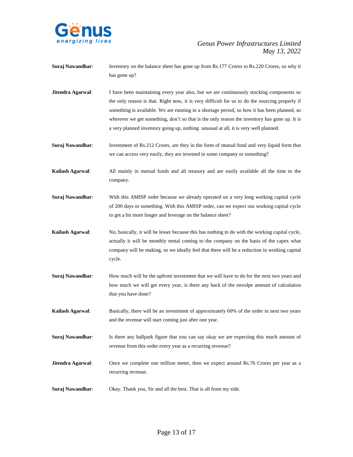

- **Suraj Nawandhar:** Inventory on the balance sheet has gone up from Rs.177 Crores to Rs.220 Crores, so why it has gone up?
- **Jitendra Agarwal:** I have been maintaining every year also, but we are continuously stocking components so the only reason is that. Right now, it is very difficult for us to do the sourcing properly if something is available. We are running in a shortage period, so how it has been planned, so wherever we get something, don't so that is the only reason the inventory has gone up. It is a very planned inventory going up, nothing unusual at all, it is very well planned.
- **Suraj Nawandhar:** Investment of Rs.212 Crores, are they in the form of mutual fund and very liquid form that we can access very easily, they are invested in some company or something?
- **Kailash Agarwal**: All mainly in mutual funds and all treasury and are easily available all the time to the company.
- **Suraj Nawandhar**: With this AMISP order because we already operated on a very long working capital cycle of 200 days or something. With this AMISP order, can we expect our working capital cycle to get a bit more longer and leverage on the balance sheet?
- **Kailash Agarwal**: No, basically, it will be lesser because this has nothing to do with the working capital cycle, actually it will be monthly rental coming to the company on the basis of the capex what company will be making, so we ideally feel that there will be a reduction in working capital cycle.
- **Suraj Nawandhar:** How much will be the upfront investment that we will have to do for the next two years and how much we will get every year, is there any back of the envolpe amount of calculation that you have done?
- **Kailash Agarwal**: Basically, there will be an investment of approximately 60% of the order in next two years and the revenue will start coming just after one year.
- **Suraj Nawandhar:** Is there any ballpark figure that you can say okay we are expecting this much amount of revenue from this order every year as a recurring revenue?
- **Jitendra Agarwal:** Once we complete one million meter, then we expect around Rs.76 Crores per year as a recurring revenue.
- **Suraj Nawandhar**: Okay. Thank you, Sir and all the best. That is all from my side.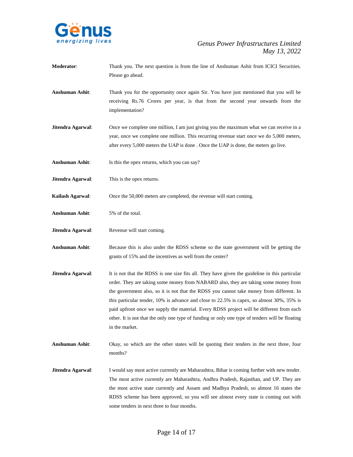

- **Moderator**: Thank you. The next question is from the line of Anshuman Ashit from ICICI Securities. Please go ahead.
- **Anshuman Ashit**: Thank you for the opportunity once again Sir. You have just mentioned that you will be receiving Rs.76 Crores per year, is that from the second year onwards from the implementation?
- **Jitendra Agarwal:** Once we complete one million, I am just giving you the maximum what we can receive in a year, once we complete one million. This recurring revenue start once we do 5,000 meters, after every 5,000 meters the UAP is done . Once the UAP is done, the meters go live.
- Anshuman Ashit: Is this the opex returns, which you can say?
- **Jitendra Agarwal**: This is the opex returns.
- **Kailash Agarwal**: Once the 50,000 meters are completed, the revenue will start coming.
- **Anshuman Ashit**: 5% of the total.
- **Jitendra Agarwal:** Revenue will start coming.
- **Anshuman Ashit**: Because this is also under the RDSS scheme so the state government will be getting the grants of 15% and the incentives as well from the center?
- **Jitendra Agarwal:** It is not that the RDSS is one size fits all. They have given the guideline in this particular order. They are taking some money from NABARD also, they are taking some money from the government also, so it is not that the RDSS you cannot take money from different. In this particular tender, 10% is advance and close to 22.5% is capex, so almost 30%, 35% is paid upfront once we supply the material. Every RDSS project will be different from each other. It is not that the only one type of funding or only one type of tenders will be floating in the market.
- **Anshuman Ashit**: Okay, so which are the other states will be quoting their tenders in the next three, four months?
- **Jitendra Agarwal:** I would say most active currently are Maharashtra, Bihar is coming further with new tender. The most active currently are Maharashtra, Andhra Pradesh, Rajasthan, and UP. They are the most active state currently and Assam and Madhya Pradesh, so almost 16 states the RDSS scheme has been approved, so you will see almost every state is coming out with some tenders in next three to four months.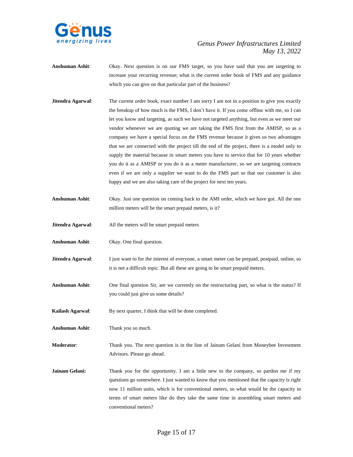

- **Anshuman Ashit**: Okay. Next question is on our FMS target, so you have said that you are targeting to increase your recurring revenue; what is the current order book of FMS and any guidance which you can give on that particular part of the business?
- **Jitendra Agarwal:** The current order book, exact number I am sorry I am not in a position to give you exactly the breakup of how much is the FMS, I don't have it. If you come offline with me, so I can let you know and targeting, as such we have not targeted anything, but even as we meet our vendor whenever we are quoting we are taking the FMS first from the AMISP, so as a company we have a special focus on the FMS revenue because it gives us two advantages that we are connected with the project till the end of the project, there is a model only to supply the material because in smart meters you have to service that for 10 years whether you do it as a AMISP or you do it as a meter manufacturer, so we are targeting contracts even if we are only a supplier we want to do the FMS part so that our customer is also happy and we are also taking care of the project for next ten years.
- **Anshuman Ashit**: Okay. Just one question on coming back to the AMI order, which we have got. All the one million meters will be the smart prepaid meters, is it?
- **Jitendra Agarwal**: All the meters will be smart prepaid meters
- **Anshuman Ashit**: Okay. One final question.
- **Jitendra Agarwal:** I just want to for the interest of everyone, a smart meter can be prepaid, postpaid, online, so it is not a difficult topic. But all these are going to be smart prepaid meters.
- **Anshuman Ashit**: One final question Sir, are we currently on the restructuring part, so what is the status? If you could just give us some details?
- **Kailash Agarwal**: By next quarter, I think that will be done completed.
- **Anshuman Ashit**: Thank you so much.

**Moderator**: Thank you. The next question is in the line of Jainam Gelani from Moneybee Investment Advisors. Please go ahead.

**Jainam Gelani:** Thank you for the opportunity. I am a little new to the company, so pardon me if my questions go somewhere. I just wanted to know that you mentioned that the capacity is right now 11 million units, which is for conventional meters, so what would be the capacity in terms of smart meters like do they take the same time in assembling smart meters and conventional meters?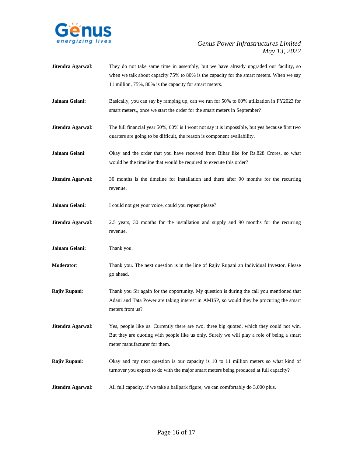

- **Jitendra Agarwal**: They do not take same time in assembly, but we have already upgraded our facility, so when we talk about capacity 75% to 80% is the capacity for the smart meters. When we say 11 million, 75%, 80% is the capacity for smart meters.
- **Jainam Gelani:** Basically, you can say by ramping up, can we run for 50% to 60% utilization in FY2023 for smart meters,, once we start the order for the smart meters in September?
- **Jitendra Agarwal:** The full financial year 50%, 60% is I wont not say it is impossible, but yes because first two quarters are going to be difficult, the reason is component availability.
- **Jainam Gelani**: Okay and the order that you have received from Bihar like for Rs.828 Crores, so what would be the timeline that would be required to execute this order?
- **Jitendra Agarwal:** 30 months is the timeline for installation and there after 90 months for the recurring revenue.

**Jainam Gelani:** I could not get your voice, could you repeat please?

**Jitendra Agarwal**: 2.5 years, 30 months for the installation and supply and 90 months for the recurring revenue.

**Jainam Gelani:** Thank you.

- **Moderator**: Thank you. The next question is in the line of Rajiv Rupani an Individual Investor. Please go ahead.
- **Rajiv Rupani**: Thank you Sir again for the opportunity. My question is during the call you mentioned that Adani and Tata Power are taking interest in AMISP, so would they be procuring the smart meters from us?
- **Jitendra Agarwal:** Yes, people like us. Currently there are two, three big quoted, which they could not win. But they are quoting with people like us only. Surely we will play a role of being a smart meter manufacturer for them.
- **Rajiv Rupani**: Okay and my next question is our capacity is 10 to 11 million meters so what kind of turnover you expect to do with the major smart meters being produced at full capacity?
- **Jitendra Agarwal:** All full capacity, if we take a ballpark figure, we can comfortably do 3,000 plus.